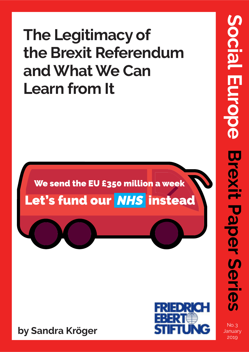# **The Legitimacy of the Brexit Referendum and What We Can Learn from It**

## We send the EU £350 million a week Let's fund our NHS instead





No. 3 January 2019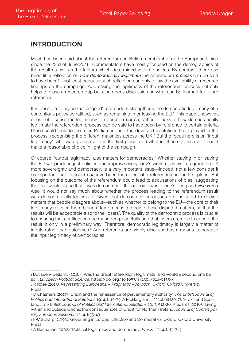#### **InTRoduCTIon**

Much has been said about the referendum on British membership of the European Union since the 23rd of June 2016. Commentators have mostly focused on the demographics of the result as well as the factors which determined voters' choices. By contrast, there has been little reflection on *how democratically legitimate* the referendum *process* can be said to have been<sup>1</sup>—not least because such reflection can only follow the availability of research findings on the campaign. Addressing the legitimacy of the referendum process not only helps to close a research gap but also opens discussion on what can be learned for future referenda.

It is possible to argue that a 'good' referendum strengthens the democratic legitimacy of a contentious policy so ratified, such as remaining in or leaving the EU.<sup>2</sup> This paper, however, does not discuss the legitimacy of referenda *per se*; rather, it looks at how democratically legitimate the referendum process can be said to have been by reference to certain criteria. These could include the roles Parliament and the devolved institutions have played in the process, recognising the different majorities across the UK.<sup>3</sup> But the focus here is on 'input legitimacy': who was given a vote in the first place, and whether those given a vote could make a reasonable choice in light of the campaign.

Of course, 'output legitimacy' also matters for democracies.<sup>4</sup> Whether staying in or leaving the EU will produce just policies and improve everybody's welfare, as well as grant the UK more sovereignty and democracy, is a very important issue—indeed, not a few consider it so important that it should *not* have been the object of a referendum in the first place. But focusing on the outcome of the referendum could lead to accusations of bias, suggesting that one would argue that it was democratic if the outcome was to one's liking and vice versa. Also, it would not say much about whether the process leading to the referendum result was democratically legitimate. Given that democratic processes are instituted to decide matters that people disagree about—such as whether to belong to the EU—the core of their legitimacy rests on there being a fair process to decide these disputed matters, so that the results will be acceptable also to the 'losers'. The quality of the democratic process is crucial to ensuring that conflicts can be managed peacefully and that losers are able to accept the result, if only in a preliminary way. Therefore, democratic legitimacy is largely a matter of inputs rather than outcomes.<sup>5</sup> And referenda are widely discussed as a means to increase the input legitimacy of democracies.

<sup>1</sup> But see R Bellamy (2018), 'Was the Brexit referendum legitimate, and would a second one be so?', *European Political Science*, https://doi.org/10.1057/s41304-018-0155-x.

<sup>2</sup> R Rose (2013), *Representing Europeans: A Pragmatic Approach*, Oxford: Oxford University Press

<sup>3</sup> D Chalmers (2017), 'Brexit and the renaissance of parliamentary authority', *The British Journal of Politics and International Relations* 19, 4: 663-79; A McHarg and J Mitchell (2017), 'Brexit and Scotland', *The British Journal of Politics and International Relations* 19, 3: 512-26; A Soares (2016), 'Living within and outside unions: the consequences of Brexit for Northern Ireland'*, Journal of Contemporary European Research* 12, 4: 835-43

<sup>4</sup> FW Scharpf (1999), Governing in Europe: Effective and Democratic?, Oxford: Oxford University Press

<sup>5</sup> A Buchanan (2002), 'Political legitimacy and democracy'. *Ethics* 112, 4: 689-719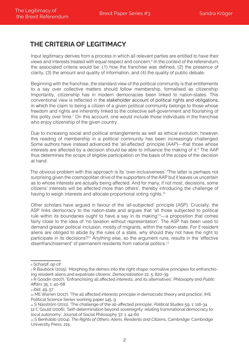#### **ThE CRITERIa of LEgITImaCy**

Input legitimacy derives from a process in which all relevant parties are entitled to have their views and interests treated with equal respect and concern.<sup>6</sup> In the context of the referendum, the associated criteria would be: (1) how the franchise was defined, (2) the presence of clarity, (3) the amount and quality of information, and (4) the quality of public debate.

Beginning with the franchise, the standard view of the political community is that entitlements to a say over collective matters should follow membership, formalised as citizenship. Importantly, citizenship has in modern democracies been linked to nation-states. This conventional view is reflected in the stakeholder account of political rights and obligations, in which the claim to being a citizen of a given political community belongs to those whose freedom and rights are inherently linked to the collective self-government and flourishing of this polity over time.<sup>7</sup> On this account, one would include those individuals in the franchise who enjoy citizenship of the given country.

Due to increasing social and political entanglements as well as ethical evolution, however, this reading of membership in a political community has been increasingly challenged. Some authors have instead advanced the 'all-affected' principle (AAP)—that those whose interests are affected by a decision should be able to influence the making of it.<sup>8</sup> The AAP thus determines the scope of eligible participation on the basis of the scope of the decision at hand.

The obvious problem with this approach is its 'over-inclusiveness'. The latter is perhaps not surprising given the cosmopolitan drive of the supporters of the AAP but it leaves us uncertain as to whose interests are actually being affected. And for many, if not most, decisions, some citizens' interests will be affected more than others', thereby introducing the challenge of having to weigh interests and allocate proportional voting rights.<sup>10</sup>

Other scholars have argued in favour of the 'all-subjected' principle (ASP). Crucially, the ASP links democracy to the nation-state and argues that 'all those subjected to political rule within its boundaries ought to have a say in its making<sup>'11</sup>—a proposition that comes fairly close to the idea of 'no taxation without representation'. The ASP has been used to demand greater political inclusion, mostly of migrants, within the nation-state. For if resident aliens are obliged to abide by the rules of a state, why should they not have the right to participate in its decisions?<sup>12</sup> Anything else, so the argument runs, results in the 'effective disenfranchisement' of permanent residents from national politics.<sup>13</sup>

<sup>6</sup> Scharpf, *op cit*

 $7 R$  Bauböck (2015), 'Morphing the demos into the right shape: normative principles for enfranchising resident aliens and expatriate citizens', *Democratization* 22, 5: 820-39

<sup>8</sup> R Goodin (2007), 'Enfranchising all affected interests, and its alternatives', *Philosophy and Public Affairs* 35, 1: 40-68

<sup>9</sup> *ibid*, 49, 57

<sup>10</sup> ME Warren (2017), 'The all affected interests principle in democratic theory and practice', IHS Political Science Series working paper 145, 9

<sup>11</sup> S Näsström (2011), 'The challenge of the all-affected principle', *Political Studies* 59, 1: 116-34 12 C Gould (2006), 'Self-determination beyond sovereignty: relating transnational democracy to local autonomy', Journal of Social Philosophy 37, 1: 44-60

<sup>13</sup> S Benhabib (2004), *The Rights of Others: Aliens, Residents and Citize*ns, Cambridge: Cambridge University Press, 215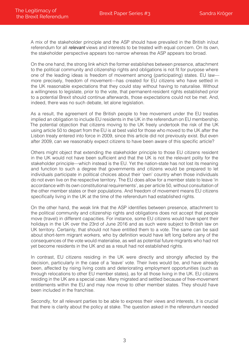A mix of the stakeholder principle and the ASP should have prevailed in the British in/out referendum for all *relevant* views and interests to be treated with equal concern. On its own, the stakeholder perspective appears too narrow whereas the ASP appears too broad.

On the one hand, the strong link which the former establishes between presence, attachment to the political community and citizenship rights and obligations is not fit for purpose where one of the leading ideas is freedom of movement among (participating) states. EU law more precisely, freedom of movement—has created for EU citizens who have settled in the UK reasonable expectations that they could stay without having to naturalise. Without a willingness to legislate, prior to the vote, that permanent-resident rights established prior to a potential Brexit should continue afterwards, those expectations could not be met. And, indeed, there was no such debate, let alone legislation.

As a result, the agreement of the British people to free movement under the EU treaties implied an obligation to include EU residents in the UK in the referendum on EU membership. The potential objection that citizens moving to the UK freely undertook the risk of the UK using article 50 to depart from the EU is at best valid for those who moved to the UK after the Lisbon treaty entered into force in 2009, since this article did not previously exist. But even after 2009, can we reasonably expect citizens to have been aware of this specific article?

Others might object that extending the stakeholder principle to those EU citizens resident in the UK would not have been sufficient and that the UK is not the relevant polity for the stakeholder principle—which instead is the EU. Yet the nation-state has not lost its meaning and function to such a degree that governments and citizens would be prepared to let individuals participate in political choices about their 'own' country when those individuals do not even live on the respective territory. The EU does allow for a member state to leave 'in accordance with its own constitutional requirements', as per article 50, without consultation of the other member states or their populations. And freedom of movement means EU citizens specifically living in the UK at the time of the referendum had established rights.

On the other hand, the weak link that the ASP identifies between presence, attachment to the political community and citizenship rights and obligations does not accept that people move (travel) in different capacities. For instance, some EU citizens would have spent their holidays in the UK over the 23rd of June 2016 and as such were subject to British law on UK territory. Certainly, that should not have entitled them to a vote. The same can be said about short-term migrant workers, who by definition would have left long before any of the consequences of the vote would materialise, as well as potential future migrants who had not yet become residents in the UK and as a result had not established rights.

In contrast, EU citizens residing in the UK were directly and strongly affected by the decision, particularly in the case of a 'leave' vote. Their lives would be, and have already been, affected by rising living costs and deteriorating employment opportunities (such as through relocations to other EU member states), as for all those living in the UK. EU citizens residing in the UK are a special case. Many migrated and settled because of free-movement entitlements within the EU and may now move to other member states. They should have been included in the franchise.

Secondly, for all relevant parties to be able to express their views and interests, it is crucial that there is clarity about the policy at stake. The question asked in the referendum needed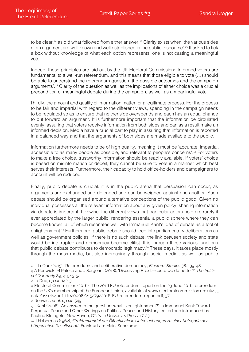to be clear,<sup>14</sup> as did what followed from either answer.<sup>15</sup> Clarity exists when 'the various sides of an argument are well known and well established in the public discourse'.<sup>16</sup> If asked to tick a box without knowledge of what each option represents, one is not casting a meaningful vote.

Indeed, these principles are laid out by the UK Electoral Commission: 'Informed voters are fundamental to a well-run referendum, and this means that those eligible to vote (…) should be able to understand the referendum question, the possible outcomes and the campaign arguments'.<sup>17</sup> Clarity of the question as well as the implications of either choice was a crucial precondition of meaningful debate during the campaign, as well as a meaningful vote.

Thirdly, the amount and quality of information matter for a legitimate process. For the process to be fair and impartial with regard to the different views, spending in the campaign needs to be regulated so as to ensure that neither side overspends and each has an equal chance to put forward an argument. It is furthermore important that the information be circulated evenly, assuring that voters receive information from both sides and can as a result make an informed decision. Media have a crucial part to play in assuring that information is reported in a balanced way and that the arguments of both sides are made available to the public.

Information furthermore needs to be of high quality, meaning it must be 'accurate, impartial, accessible to as many people as possible, and relevant to people's concerns'.<sup>18</sup> For voters to make a free choice, trustworthy information should be readily available. If voters' choice is based on misinformation or deceit, they cannot be sure to vote in a manner which best serves their interests. Furthermore, their capacity to hold office-holders and campaigners to account will be reduced.

Finally, public debate is crucial: it is in the public arena that persuasion can occur, as arguments are exchanged and defended and can be weighed against one another. Such debate should be organised around alternative conceptions of the public good. Given no individual possesses all the relevant information about any given policy, sharing information via debate is important. Likewise, the different views that particular actors hold are rarely if ever appreciated by the larger public, rendering essential a public sphere where they can become known, all of which resonates well with Immanuel Kant's idea of debate as a tool of enlightenment.<sup>19</sup> Furthermore, public debate should feed into parliamentary deliberations as well as government policies. If there is no such debate, the link between society and state would be interrupted and democracy become elitist. It is through these various functions that public debate contributes to democratic legitimacy.<sup>20</sup> These days, it takes place mostly through the mass media, but also increasingly through 'social media', as well as public

<sup>14</sup> L LeDuc (2015), 'Referendums and deliberative democracy', *Electoral Studies* 38: 139-48

<sup>15</sup> A Renwick, M Palese and J Sargeant (2018), 'Discussing Brexit—could we do better?', *The Political Quarterly* 89, 4: 545-52

<sup>16</sup> LeDuc, *op cit*, 142-3

<sup>17</sup> Electoral Commission (2016), 'The 2016 EU referendum: report on the 23 June 2016 referendum on the UK's membership of the European Union', available at www.electoralcommission.org.uk/\_\_ data/assets/pdf\_file/0008/215279/2016-EU-referendum-report.pdf, 37

<sup>18</sup> Renwick *et al, op cit*, 549

<sup>19</sup> I Kant (2006), 'An answer to the question: what is enlightenment?', in Immanuel Kant: Toward Perpetual Peace and Other Writings on Politics, Peace, and History, edited and introduced by Pauline Kleingeld, New Haven, CT: Yale University Press, 17-23

<sup>20</sup> J Habermas (1962), *Strukturwandel der Öffentlichkeit: Untersuchungen zu einer Kategorie der bürgerlichen Gesellschaft*, Frankfurt am Main: Suhrkamp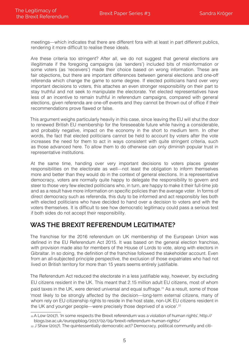meetings—which indicates that there are different fora with at least in part different publics, rendering it more difficult to realise these ideals.

Are these criteria too stringent? After all, we do not suggest that general elections are illegitimate if the foregoing campaigns (as 'senders') included bits of misinformation or some voters (as 'receivers') made their choice based on wrong information. These are fair objections, but there are important differences between general elections and one-off referenda which change the game to some degree. If elected politicians hand over very important decisions to voters, this attaches an even stronger responsibility on their part to stay truthful and not seek to manipulate the electorate. Yet elected representatives have less of an incentive to remain truthful in referendum campaigns, compared with general elections, given referenda are one-off events and they cannot be thrown out of office if their recommendations prove flawed or false.

This argument weighs particularly heavily in this case, since leaving the EU will shut the door to renewed British EU membership for the foreseeable future while having a considerable, and probably negative, impact on the economy in the short to medium term. In other words, the fact that elected politicians cannot be held to account by voters after the vote increases the need for them to act in ways consistent with quite stringent criteria, such as those advanced here. To allow them to do otherwise can only diminish popular trust in representative institutions.

At the same time, handing over very important decisions to voters places greater responsibilities on the electorate as well—not least the obligation to inform themselves more and better than they would do in the context of general elections. In a representative democracy, voters are normally quite happy to delegate the responsibility to govern and steer to those very few elected politicians who, in turn, are happy to make it their full-time job and as a result have more information on specific policies than the average voter. In forms of direct democracy such as referenda, this duty to be informed and act responsibly lies both with elected politicians who have decided to hand over a decision to voters and with the voters themselves. It is difficult to see how democratic legitimacy could pass a serious test if both sides do not accept their responsibility.

#### **WaS ThE BRExIT REfEREndum LEgITImaTE?**

The franchise for the 2016 referendum on UK membership of the European Union was defined in the EU Referendum Act 2015. It was based on the general election franchise, with provision made also for members of the House of Lords to vote, along with electors in Gibraltar. In so doing, the definition of the franchise followed the stakeholder account. Even from an all-subjected principle perspective, the exclusion of those expatriates who had not lived on British territory for more than 15 years seems entirely justifiable.

The Referendum Act reduced the electorate in a less justifiable way, however, by excluding EU citizens resident in the UK. This meant that 2.15 million adult EU citizens, most of whom paid taxes in the UK, were denied universal and equal suffrage.<sup>21</sup> As a result, some of those 'most likely to be strongly affected by the decision—long-term external citizens, many of whom rely on EU citizenship rights to reside in the host state, non-UK EU citizens resident in the UK and younger people—were precisely those deprived of a voice'.<sup>22</sup>

<sup>21</sup> A Low (2017), 'In some respects the Brexit referendum was a violation of human rights', http:// blogs.lse.ac.uk/europpblog/2017/02/09/brexit-referendum-human-rights/

<sup>22</sup> J Shaw (2017), The quintessentially democratic act? Democracy, political community and citi-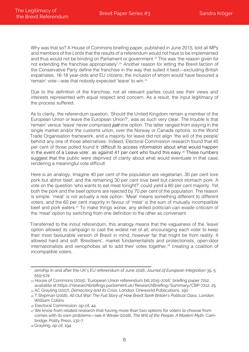Why was that so? A House of Commons briefing paper, published in June 2015, told all MPs and members of the Lords that the results of a referendum would not have to be implemented and thus would not be binding on Parliament or government.<sup>23</sup> This was 'the reason given for not extending the franchise appropriately'.<sup>24</sup> Another reason for letting the Brexit faction of the Conservative Party define the franchise in the way that suited it best—excluding British expatriates, 16-18 year-olds and EU citizens, the inclusion of whom would have favoured a 'remain' vote—was that nobody expected 'leave' to win.<sup>25</sup>

Due to the definition of the franchise, not all relevant parties could see their views and interests represented with equal respect and concern. As a result, the input legitimacy of the process suffered.

As to clarity, the referendum question, 'Should the United Kingdom remain a member of the European Union or leave the European Union?', was as such very clear. The trouble is that 'remain' versus 'leave' never comprised *just* one option. The latter ranged from staying in the single market and/or the customs union, over the Norway or Canada options, to the World Trade Organisation framework, and a majority for leave did not align 'the will of the people' behind any one of those alternatives. Indeed, Electoral Commission research found that 45 per cent of those polled found it 'difficult to access information about what would happen in the event of a Leave vote', as against 41 per cent who found this easy.<sup>26</sup> These numbers suggest that the public were deprived of clarity about what would eventuate in that case, rendering a meaningful vote difficult.

Here is an analogy. Imagine 40 per cent of the population are vegetarian, 30 per cent love pork but abhor beef, and the remaining 30 per cent love beef but cannot stomach pork. A vote on the question 'who wants to eat meat tonight?' could yield a 60 per cent majority. Yet both the pork and the beef options are rejected by 70 per cent of the population. The reason is simple: 'meat' is not actually a real option. 'Meat' means something different to different voters, and the 60 per cent majority in favour of 'meat' is the sum of mutually incompatible beef and pork eaters.<sup>27</sup> To make things worse, any skilled politician can evade criticism of the 'meat' option by switching from one definition to the other as convenient.

Transferred to the in/out referendum, this analogy means that the vagueness of the 'leave' option allowed its campaign to cast the widest net of all, encouraging each voter to keep their most favourable version of Brexit in mind, however far that might be from reality. It allowed hard and soft 'Brexiteers', market fundamentalists and protectionists, open-door internationalists and xenophobes all to add their votes together,<sup>28</sup> creating a coalition of incompatible voters.

zenship in and after the UK's EU referendum of June 2016, *Journal of European Integration* 39, 5: 559-574

<sup>23</sup> House of Commons (2015), 'European Union referendum bill 2015-2016', briefing paper 7212, available at https://researchbriefings.parliament.uk/ResearchBriefing/Summary/CBP-7212, 25

<sup>24</sup> AC Grayling (2017), *Democracy and its Crisis*, London: Oneworld Publications, 190 <sup>25</sup> T Shipman (2016), *All Out War: The Full Story of How Brexit Sank Britain's Political Class*, London:

Willliam Collins

<sup>26</sup> Electoral Commission, *op cit,* 44

<sup>27</sup> We know from related research that having more than two options for voters to choose from comes with its own problems—see A Weale (2018), *The Will of the People. A Modern Myth*, Cambridge: Polity Press, 132-7.

<sup>28</sup>Grayling, *op cit*, 194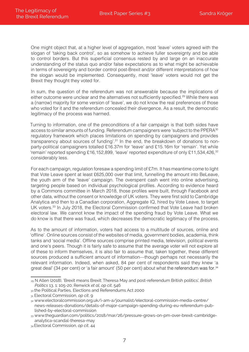One might object that, at a higher level of aggregation, most 'leave' voters agreed with the slogan of 'taking back control', so as somehow to achieve fuller sovereignty and be able to control borders. But this superficial consensus rested by and large on an inaccurate understanding of the status quo and/or false expectations as to what might be achievable in terms of sovereignty and border control post-Brexit and/or different interpretations of how the slogan would be implemented. Consequently, most 'leave' voters would not get the Brexit they thought they voted for.

In sum, the question of the referendum was not answerable because the implications of either outcome were unclear and the alternatives not sufficiently specified.<sup>29</sup> While there was a (narrow) majority for some version of 'leave', we do not know the real preferences of those who voted for it and the referendum concealed their divergence. As a result, the democratic legitimacy of the process was harmed.

Turning to information, one of the preconditions of a fair campaign is that both sides have access to similar amounts of funding. Referendum campaigners were 'subject to the PPERA<sup>30</sup> regulatory framework which places limitations on spending by campaigners and provides transparency about sources of funding'.<sup>31</sup> In the end, the breakdown of donations to nonparty-political campaigners totalled £16.37m for 'leave' and £15.16m for 'remain'. Yet while 'remain' reported spending £16,152,899, 'leave' reported expenditure of only £11,534,426,<sup>32</sup> considerably less.

For each campaign, regulation foresaw a spending limit of £7m. It has meantime come to light that Vote Leave spent at least £625,000 over that limit, funnelling the amount into BeLeave, the youth arm of the 'leave' campaign. The overspent cash went into online advertising, targeting people based on individual psychological profiles. According to evidence heard by a Commons committee in March 2018, those profiles were built, through Facebook and other data, without the consent or knowledge of UK voters. They were first sold to Cambridge Analytica and then to a Canadian corporation, Aggregate IQ, hired by Vote Leave, to target UK voters.<sup>33</sup> In July 2018, the Electoral Commission confirmed that Vote Leave had broken electoral law. We cannot know the impact of the spending fraud by Vote Leave. What we do know is that there was fraud, which decreases the democratic legitimacy of the process.

As to the amount of information, voters had access to a multitude of sources, online and 'offline'. Online sources consist of the websites of media, government bodies, academia, think tanks and 'social media'. Offline sources comprise printed media, television, political events and one's peers. Though it is fairly safe to assume that the average voter will not explore all of these to inform themselves, it is also fair to assume that, taken together, these different sources produced a sufficient amount of information—though perhaps not necessarily the relevant information. Indeed, when asked, 84 per cent of respondents said they knew 'a great deal' (34 per cent) or 'a fair amount' (50 per cent) about what the referendum was for.<sup>34</sup>

<sup>29</sup> N Allen (2018), 'Brexit means Brexit: Theresa May and post-referendum British politics', *British Politics* 13, 1: 105-20; Renwick *et al*, *op cit*, 546

<sup>30</sup> the Political Parties, Elections and Referendums Act 2000

<sup>31</sup> Electoral Commission, *op cit*, 9

<sup>32</sup> www.electoralcommission.org.uk/i-am-a/journalist/electoral-commission-media-centre/ news-releases-donations/details-of-major-campaign-spending-during-eu-referendum-published-by-electoral-commission

<sup>33</sup> www.thequardian.com/politics/2018/mar/26/pressure-grows-on-pm-over-brexit-cambridgeanalytica-scandal-theresa-may

<sup>34</sup>Electoral Commission, *op cit*, 44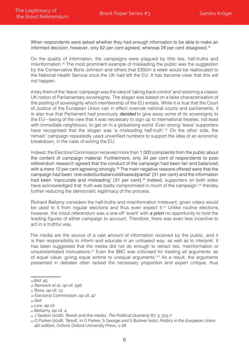When respondents were asked whether they had enough information to be able to make an informed decision, however, only 62 per cent agreed, whereas 28 per cent disagreed.<sup>35</sup>

On the quality of information, the campaigns were plagued by little lies, half-truths and misinformation.<sup>36</sup> The most prominent example of misleading the public was the suggestion by the Conservative Boris Johnson and others that £350m a week would be reallocated to the National Health Service once the UK had left the EU. It has become clear that this will not happen.

A key them of the 'leave' campaign was the idea of 'taking back control' and restoring a classic UK notion of Parliamentary sovereignty. The slogan was based on a false characterisation of the pooling of sovereignty which membership of the EU entails. While it is true that the Court of Justice of the European Union can in effect overrule national courts and parliaments, it is also true that Parliament had previously *decided* to give away some of its sovereignty to the EU—being of the view that it was necessary to sign up to international treaties, not least with immediate neighbours, to get on in a globalising world. Even strong 'leave' supporters have recognised that the slogan was 'a misleading half-truth'.<sup>37</sup> On the other side, the 'remain' campaign repeatedly used unverified numbers to support the idea of an economic breakdown, in the case of exiting the EU.

Indeed, the Electoral Commission received more than 1,000 complaints from the public about the content of campaign material. Furthermore, only 34 per cent of respondents to postreferendum research agreed that the conduct of the campaign had been fair and balanced, with a mere 12 per cent agreeing strongly.<sup>38</sup> The main negative reasons offered were that the campaign had been 'one-sided/unbalanced/biased/partial' (31 per cent) and the information had been 'inaccurate and misleading' (31 per cent).<sup>39</sup> Indeed, supporters on both sides have acknowledged that 'truth was badly compromised in much of the campaign',<sup>40</sup> thereby further reducing the democratic legitimacy of the process.

Richard Bellamy considers the half-truths and misinformation irrelevant, given voters would be used to it from regular elections and thus even expect it.<sup>41</sup> Unlike routine elections, however, the in/out referendum was a one-off 'event' with a priori no opportunity to hold the leading figures of either campaign to account. Therefore, there was even less incentive to act in a truthful way.

The media are the source of a vast amount of information received by the public, and it is their responsibility to inform and educate in an unbiased way, as well as to interpret. It has been suggested that the media did not do enough to retract lies, misinformation or unsubstantiated insinuations.<sup>42</sup> Even the BBC was criticised for treating all arguments 'as of equal value, giving equal airtime to unequal arguments'.<sup>43</sup> As a result, the arguments presented in debates often lacked the necessary proportion and expert critique, thus

<sup>41</sup> Bellamy, *op cit*, 4

<sup>35</sup> *ibid*, 45

<sup>36</sup> Renwick *et al*, *op cit*, 546

<sup>37</sup> Rose, *op cit*, 13

<sup>38</sup> Electoral Commission, *op cit*, 47

<sup>39</sup> *ibid*

<sup>40</sup> Low, *op cit*

<sup>42</sup> J Seaton (2016), 'Brexit and the media', *The Political Quarterly* 87, 3: 333-7

<sup>43</sup> O Parker (2018), 'Brexit', in O Parker, S George and S Bulmer (eds), *Politics in the European Union*, 4th edition, Oxford: Oxford University Press, 1-28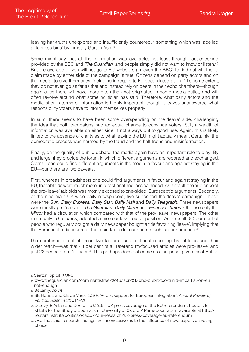leaving half-truths unexplored and insufficiently countered,<sup>44</sup> something which was labelled a 'fairness bias' by Timothy Garton Ash.<sup>45</sup>

Some might say that all the information was available, not least through fact-checking provided by the BBC and The Guardian, and people simply did not want to know or listen.<sup>46</sup> But the average citizen will not go to EU websites (or even the BBC) to find out whether a claim made by either side of the campaign is true. Citizens depend on party actors and on the media, to give them cues, including in regard to European integration.<sup>47</sup> To some extent, they do not even go as far as that and instead rely on peers in their echo chambers—though again cues there will have more often than not originated in some media outlet, and will often revolve around what some politician has said. Therefore, what party actors and the media offer in terms of information is highly important, though it leaves unanswered what responsibility voters have to inform themselves properly.

In sum, there seems to have been some overspending on the 'leave' side, challenging the idea that both campaigns had an equal chance to convince voters. Still, a wealth of information was available on either side, if not always put to good use. Again, this is likely linked to the absence of clarity as to what leaving the EU might actually mean. Certainly, the democratic process was harmed by the fraud and the half-truths and misinformation.

Finally, on the quality of public debate, the media again have an important role to play. By and large, they provide the forum in which different arguments are reported and exchanged. Overall, one could find different arguments in the media in favour and against staying in the EU—but there are two caveats.

First, whereas in broadsheets one could find arguments in favour and against staying in the EU, the tabloids were much more unidirectional and less balanced. As a result, the audience of the pro-'leave' tabloids was mostly exposed to one-sided, Eurosceptic arguments. Secondly, of the nine main UK-wide daily newspapers, five supported the 'leave' campaign. These were the Sun, Daily Express, Daily Star, Daily Mail and Daily Telegraph. Three newspapers were mostly pro-'remain': The Guardian, Daily Mirror and Financial Times. Of these only the Mirror had a circulation which compared with that of the pro-'leave' newspapers. The other main daily, The Times, adopted a more or less neutral position. As a result, 80 per cent of people who regularly bought a daily newspaper bought a title favouring 'leave', implying that the Eurosceptic discourse of the main tabloids reached a much larger audience.<sup>48</sup>

The combined effect of these two factors—unidirectional reporting by tabloids and their wider reach—was that 48 per cent of all referendum-focused articles were pro-'leave' and just 22 per cent pro-'remain'.<sup>49</sup> This perhaps does not come as a surprise, given most British

<sup>44</sup>Seaton, op cit, 335-6

<sup>45</sup> www.theguardian.com/commentisfree/2016/apr/01/bbc-brexit-too-timid-impartial-on-eu not-enough

<sup>46</sup>Bellamy, *op cit*

<sup>47</sup> SB Hobolt and CE de Vries (2016), 'Public support for European integration', *Annual Review of Political Science* 19: 413–32

<sup>48</sup> D Levy, B Aslan and D Bironzo (2016), 'UK press coverage of the EU referendum', Reuters Institute for the Study of Journalism, University of Oxford / Prime Journalism. available at http:// reutersinstitute.politics.ox.ac.uk/our-research/uk-press-coverage-eu-referendum

<sup>49</sup> *ibid*. That said, research findings are inconclusive as to the influence of newspapers on voting choice.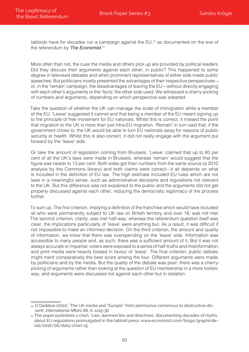tabloids have for decades run a campaign against the EU,<sup>50</sup> as documented on the eve of the referendum by The Economist.<sup>51</sup>

More often than not, the cues the media and others pick up are provided by political leaders. Did they discuss their arguments against each other, in public? This happened to some degree in televised debates and when prominent representatives of either side made public speeches. But politicians mostly presented the advantages of their respective perspectives or, in the 'remain' campaign, the disadvantages of leaving the EU—without directly engaging with each other's arguments or the 'facts' the other side used. We witnessed a cherry-picking of numbers and arguments, depending on which perspective was adopted.

Take the question of whether the UK can manage the scale of immigration while a member of the EU. 'Leave' suggested it cannot and that being a member of the EU meant signing up to the principle of free movement for EU nationals. Whilst this is correct, it missed the point that migration to the UK is more than just intra-EU migration. 'Remain' in turn said that, if the government chose to, the UK would be able to turn EU nationals away for reasons of public security or health. Whilst this is also correct, it did not really engage with the argument put forward by the 'leave' side.

Or take the amount of legislation coming from Brussels. 'Leave' claimed that up to 60 per cent of all the UK's laws were made in Brussels, whereas 'remain' would suggest that the figure was nearer to 13 per cent. Both sides got their numbers from the same source (a 2010 analysis by the Commons library) and both claims were correct—it all depends on what is included in the definition of EU law. The high estimate included EU rules which are not laws in a meaningful sense, such as administrative decisions and regulations not relevant to the UK. But this difference was not explained to the public and the arguments did not get properly discussed against each other, reducing the democratic legitimacy of the process further.

To sum up. The first criterion, implying a definition of the franchise which would have included all who were permanently subject to UK law on British territory and over 16, was not met. The second criterion, clarity, was met half-way: whereas the referendum question itself was clear, the implications particularly of 'leave' were anything but. As a result, it was difficult if not impossible to make an informed decision. On the third criterion, the amount and quality of information, we know that there was overspending on the 'leave' side. Information was accessible to many people and, as such, there was a sufficient amount of it. But it was not always accurate or impartial: voters were exposed to a series of half-truths and misinformation, and print media were heavily biased in favour of 'leave'. The final criterion, public debate, might merit comparatively the best score among the four. Different arguments were made, by politicians and by the media. But the quality of the debate was poor: there was a cherrypicking of arguments rather than looking at the question of EU membership in a more holistic way, and arguments were discussed not against each other but in isolation.

<sup>50</sup> O Daddow (2012), 'The UK media and "Europe": from permissive consensus to destructive dissent', *International Affairs* 88, 6: 1219-36

 $51$  The paper published a chart, 'Lies, damned lies and directives', documenting decades of myths about EU regulations promulgated in the tabloid press: www.economist.com/blogs/graphicdetail/2016/06/daily-chart-15.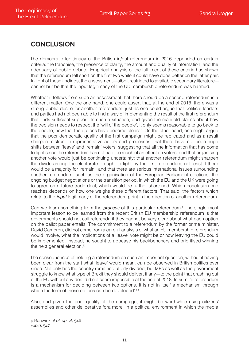#### **ConCLuSIon**

The democratic legitimacy of the British in/out referendum in 2016 depended on certain criteria: the franchise, the presence of clarity, the amount and quality of information, and the adequacy of public debate. Empirical analysis of the fulfilment of these criteria has shown that the referendum fell short on the first two while it could have done better on the latter pair. In light of these findings, the assessment—albeit restricted to available secondary literature cannot but be that the input legitimacy of the UK membership referendum was harmed.

Whether it follows from such an assessment that there should be a second referendum is a different matter. One the one hand, one could assert that, at the end of 2018, there was a strong public desire for another referendum, just as one could argue that political leaders and parties had not been able to find a way of implementing the result of the first referendum that finds sufficient support. In such a situation, and given the manifold claims about how the decision needs to respect the 'will of the people', it only seems reasonable to go back to the people, now that the options have become clearer. On the other hand, one might argue that the poor democratic quality of the first campaign might be replicated and as a result sharpen mistrust in representative actors and processes; that there have not been huge shifts between 'leave' and 'remain' voters, suggesting that all the information that has come to light since the referendum has not had too much of an effect on voters, and that organising another vote would just be continuing uncertainty; that another referendum might sharpen the divide among the electorate brought to light by the first referendum, not least if there would be a majority for 'remain'; and that there are serious international issues surrounding another referendum, such as the organisation of the European Parliament elections, the ongoing budget negotiations or the transition period, in which the EU and the UK were going to agree on a future trade deal, which would be further shortened. Which conclusion one reaches depends on how one weighs these different factors. That said, the factors which relate to the *input* legitimacy of the referendum point in the direction of another referendum.

Can we learn something from the *process* of this particular referendum? The single most important lesson to be learned from the recent British EU membership referendum is that governments should not call referenda if they cannot be very clear about what each option on the ballot paper entails. The commitment to a referendum by the former prime minister, David Cameron, did not come from a careful analysis of what an EU membership referendum would involve, what the implications of a 'leave' vote might be or how leaving the EU could be implemented. Instead, he sought to appease his backbenchers and prioritised winning the next general election.<sup>52</sup>

The consequences of holding a referendum on such an important question, without it having been clear from the start what 'leave' would mean, can be observed in British politics ever since. Not only has the country remained utterly divided, but MPs as well as the government struggle to know what type of Brexit they should deliver, if any—to the point that crashing out of the EU without any deal did not seem impossible at the end of 2018. In sum, 'a referendum is a mechanism for deciding between two options. It is not in itself a mechanism through which the form of those options can be developed'.<sup>53</sup>

Also, and given the poor quality of the campaign, it might be worthwhile using citizens' assemblies and other deliberative fora more. In a political environment in which the media

<sup>52</sup>Renwick *et al, op cit*, 546

<sup>53</sup> *ibid*, 547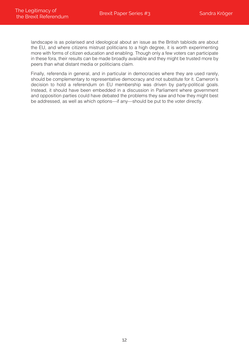landscape is as polarised and ideological about an issue as the British tabloids are about the EU, and where citizens mistrust politicians to a high degree, it is worth experimenting more with forms of citizen education and enabling. Though only a few voters can participate in these fora, their results can be made broadly available and they might be trusted more by peers than what distant media or politicians claim.

Finally, referenda in general, and in particular in democracies where they are used rarely, should be complementary to representative democracy and not substitute for it. Cameron's decision to hold a referendum on EU membership was driven by party-political goals. Instead, it should have been embedded in a discussion in Parliament where government and opposition parties could have debated the problems they saw and how they might best be addressed, as well as which options—if any—should be put to the voter directly.